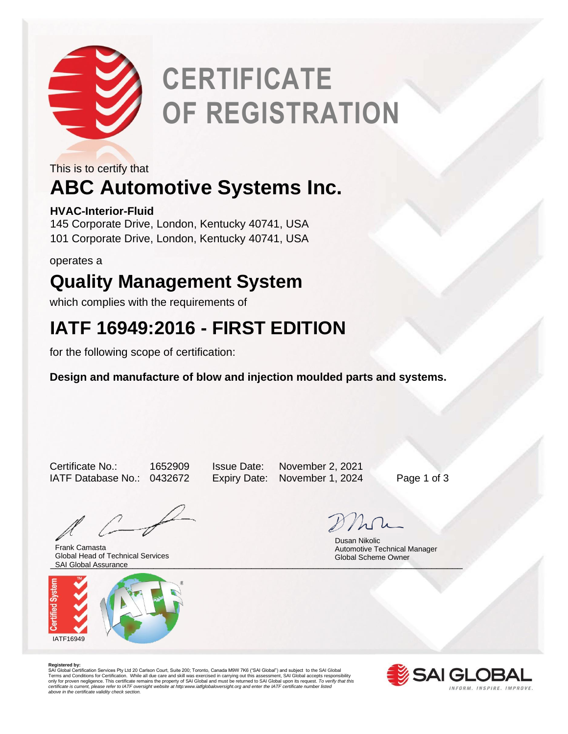

# **CERTIFICATE OF REGISTRATION**

This is to certify that

## **ABC Automotive Systems Inc.**

### **HVAC-Interior-Fluid**

145 Corporate Drive, London, Kentucky 40741, USA 101 Corporate Drive, London, Kentucky 40741, USA

operates a

## **Quality Management System**

which complies with the requirements of

### **IATF 16949:2016 - FIRST EDITION**

for the following scope of certification:

**Design and manufacture of blow and injection moulded parts and systems.** 

Certificate No.: 1652909 Issue Date: November 2, 2021 IATF Database No.: 0432672 Expiry Date: November 1, 2024 Page 1 of 3

\_\_\_\_\_\_\_\_\_\_\_\_\_\_\_\_\_\_\_\_\_\_\_\_\_\_\_\_\_\_\_\_\_\_\_\_\_\_\_\_\_\_\_\_\_\_\_\_\_\_\_\_\_\_\_\_\_\_\_\_\_\_\_\_\_\_\_\_\_\_\_\_\_\_\_\_\_\_\_\_ SAI Global Assurance Frank Camasta Global Head of Technical Services



 Dusan Nikolic Automotive Technical Manager Global Scheme Owner

**Registered by:**<br>SAI Global Certification Services Pty Ltd 20 Carlson Court, Suite 200; Toronto, Canada M9W 7K6 ("SAI Global") and subject to the SAI Global<br>Terms and Conditions for Certification. While all due care and sk *certificate is current, please refer to IATF oversight website at http:www.iatfglobaloversight.org and enter the IATF certificate number listed above in the certificate validity check section.*

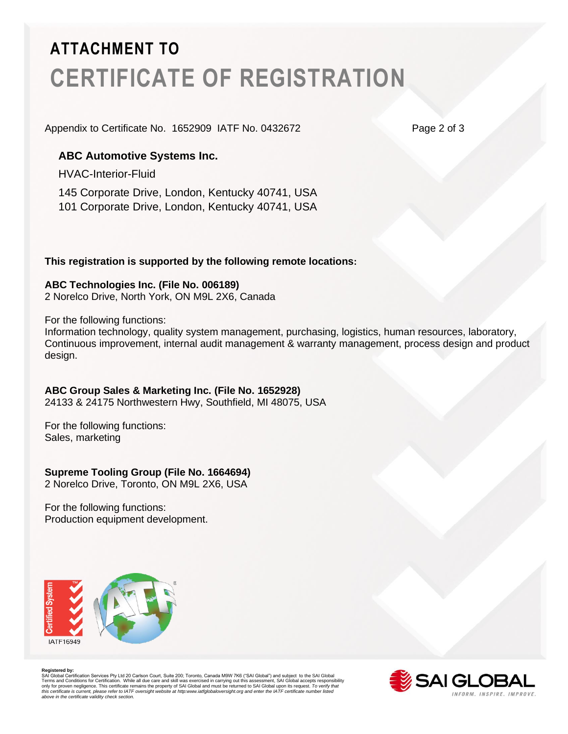# **ATTACHMENT TO CERTIFICATE OF REGISTRATION**

Appendix to Certificate No. 1652909 IATF No. 0432672 Page 2 of 3

### **ABC Automotive Systems Inc.**

HVAC-Interior-Fluid

145 Corporate Drive, London, Kentucky 40741, USA 101 Corporate Drive, London, Kentucky 40741, USA

#### **This registration is supported by the following remote locations:**

#### **ABC Technologies Inc. (File No. 006189)**

2 Norelco Drive, North York, ON M9L 2X6, Canada

For the following functions:

Information technology, quality system management, purchasing, logistics, human resources, laboratory, Continuous improvement, internal audit management & warranty management, process design and product design.

#### **ABC Group Sales & Marketing Inc. (File No. 1652928)**

24133 & 24175 Northwestern Hwy, Southfield, MI 48075, USA

For the following functions: Sales, marketing

#### **Supreme Tooling Group (File No. 1664694)**

2 Norelco Drive, Toronto, ON M9L 2X6, USA

For the following functions: Production equipment development.



Registered by:<br>SAI Globial Certification Services Pty Ltd 20 Carlson Court, Suite 200; Toronto, Canada M9W 7K6 ("SAI Global") and subject to the SAI Global<br>Terms and Conditions for Certification. While all due care and ski